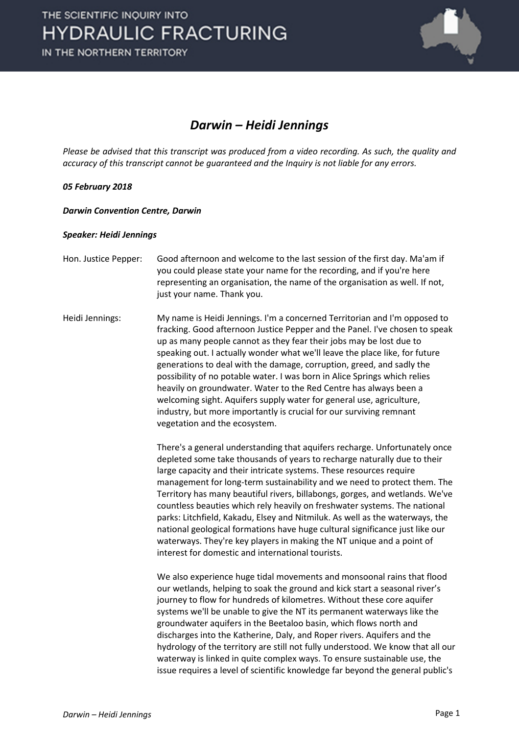

## *Darwin – Heidi Jennings*

*Please be advised that this transcript was produced from a video recording. As such, the quality and accuracy of this transcript cannot be guaranteed and the Inquiry is not liable for any errors.*

## *05 February 2018*

*Darwin Convention Centre, Darwin* 

## *Speaker: Heidi Jennings*

- Hon. Justice Pepper: Good afternoon and welcome to the last session of the first day. Ma'am if you could please state your name for the recording, and if you're here representing an organisation, the name of the organisation as well. If not, just your name. Thank you.
- Heidi Jennings: My name is Heidi Jennings. I'm a concerned Territorian and I'm opposed to fracking. Good afternoon Justice Pepper and the Panel. I've chosen to speak up as many people cannot as they fear their jobs may be lost due to speaking out. I actually wonder what we'll leave the place like, for future generations to deal with the damage, corruption, greed, and sadly the possibility of no potable water. I was born in Alice Springs which relies heavily on groundwater. Water to the Red Centre has always been a welcoming sight. Aquifers supply water for general use, agriculture, industry, but more importantly is crucial for our surviving remnant vegetation and the ecosystem.

There's a general understanding that aquifers recharge. Unfortunately once depleted some take thousands of years to recharge naturally due to their large capacity and their intricate systems. These resources require management for long-term sustainability and we need to protect them. The Territory has many beautiful rivers, billabongs, gorges, and wetlands. We've countless beauties which rely heavily on freshwater systems. The national parks: Litchfield, Kakadu, Elsey and Nitmiluk. As well as the waterways, the national geological formations have huge cultural significance just like our waterways. They're key players in making the NT unique and a point of interest for domestic and international tourists.

We also experience huge tidal movements and monsoonal rains that flood our wetlands, helping to soak the ground and kick start a seasonal river's journey to flow for hundreds of kilometres. Without these core aquifer systems we'll be unable to give the NT its permanent waterways like the groundwater aquifers in the Beetaloo basin, which flows north and discharges into the Katherine, Daly, and Roper rivers. Aquifers and the hydrology of the territory are still not fully understood. We know that all our waterway is linked in quite complex ways. To ensure sustainable use, the issue requires a level of scientific knowledge far beyond the general public's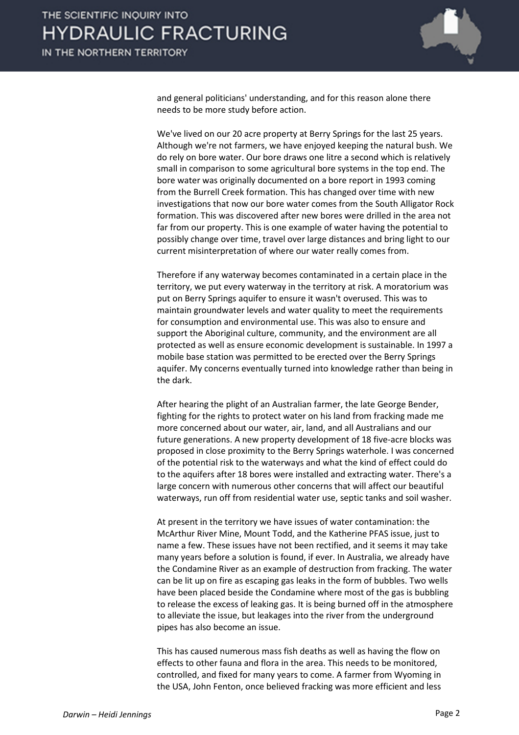

and general politicians' understanding, and for this reason alone there needs to be more study before action.

We've lived on our 20 acre property at Berry Springs for the last 25 years. Although we're not farmers, we have enjoyed keeping the natural bush. We do rely on bore water. Our bore draws one litre a second which is relatively small in comparison to some agricultural bore systems in the top end. The bore water was originally documented on a bore report in 1993 coming from the Burrell Creek formation. This has changed over time with new investigations that now our bore water comes from the South Alligator Rock formation. This was discovered after new bores were drilled in the area not far from our property. This is one example of water having the potential to possibly change over time, travel over large distances and bring light to our current misinterpretation of where our water really comes from.

Therefore if any waterway becomes contaminated in a certain place in the territory, we put every waterway in the territory at risk. A moratorium was put on Berry Springs aquifer to ensure it wasn't overused. This was to maintain groundwater levels and water quality to meet the requirements for consumption and environmental use. This was also to ensure and support the Aboriginal culture, community, and the environment are all protected as well as ensure economic development is sustainable. In 1997 a mobile base station was permitted to be erected over the Berry Springs aquifer. My concerns eventually turned into knowledge rather than being in the dark.

After hearing the plight of an Australian farmer, the late George Bender, fighting for the rights to protect water on his land from fracking made me more concerned about our water, air, land, and all Australians and our future generations. A new property development of 18 five-acre blocks was proposed in close proximity to the Berry Springs waterhole. I was concerned of the potential risk to the waterways and what the kind of effect could do to the aquifers after 18 bores were installed and extracting water. There's a large concern with numerous other concerns that will affect our beautiful waterways, run off from residential water use, septic tanks and soil washer.

At present in the territory we have issues of water contamination: the McArthur River Mine, Mount Todd, and the Katherine PFAS issue, just to name a few. These issues have not been rectified, and it seems it may take many years before a solution is found, if ever. In Australia, we already have the Condamine River as an example of destruction from fracking. The water can be lit up on fire as escaping gas leaks in the form of bubbles. Two wells have been placed beside the Condamine where most of the gas is bubbling to release the excess of leaking gas. It is being burned off in the atmosphere to alleviate the issue, but leakages into the river from the underground pipes has also become an issue.

This has caused numerous mass fish deaths as well as having the flow on effects to other fauna and flora in the area. This needs to be monitored, controlled, and fixed for many years to come. A farmer from Wyoming in the USA, John Fenton, once believed fracking was more efficient and less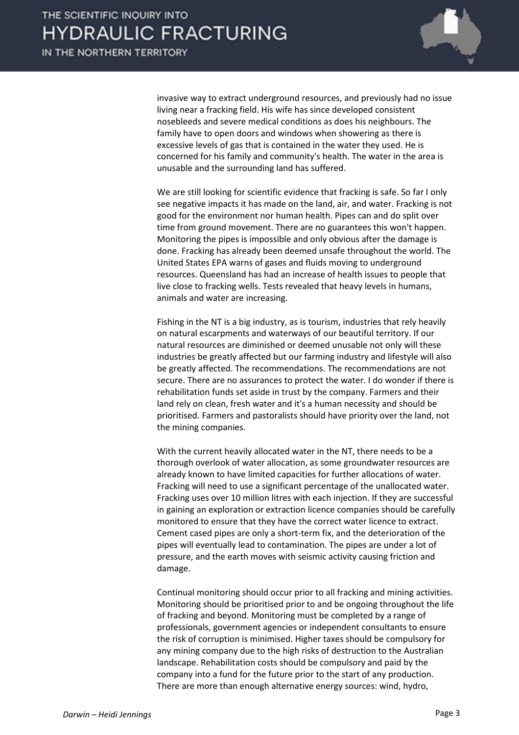

invasive way to extract underground resources, and previously had no issue living near a fracking field. His wife has since developed consistent nosebleeds and severe medical conditions as does his neighbours. The family have to open doors and windows when showering as there is excessive levels of gas that is contained in the water they used. He is concerned for his family and community's health. The water in the area is unusable and the surrounding land has suffered.

We are still looking for scientific evidence that fracking is safe. So far I only see negative impacts it has made on the land, air, and water. Fracking is not good for the environment nor human health. Pipes can and do split over time from ground movement. There are no guarantees this won't happen. Monitoring the pipes is impossible and only obvious after the damage is done. Fracking has already been deemed unsafe throughout the world. The United States EPA warns of gases and fluids moving to underground resources. Queensland has had an increase of health issues to people that live close to fracking wells. Tests revealed that heavy levels in humans, animals and water are increasing.

Fishing in the NT is a big industry, as is tourism, industries that rely heavily on natural escarpments and waterways of our beautiful territory. If our natural resources are diminished or deemed unusable not only will these industries be greatly affected but our farming industry and lifestyle will also be greatly affected. The recommendations. The recommendations are not secure. There are no assurances to protect the water. I do wonder if there is rehabilitation funds set aside in trust by the company. Farmers and their land rely on clean, fresh water and it's a human necessity and should be prioritised. Farmers and pastoralists should have priority over the land, not the mining companies.

With the current heavily allocated water in the NT, there needs to be a thorough overlook of water allocation, as some groundwater resources are already known to have limited capacities for further allocations of water. Fracking will need to use a significant percentage of the unallocated water. Fracking uses over 10 million litres with each injection. If they are successful in gaining an exploration or extraction licence companies should be carefully monitored to ensure that they have the correct water licence to extract. Cement cased pipes are only a short-term fix, and the deterioration of the pipes will eventually lead to contamination. The pipes are under a lot of pressure, and the earth moves with seismic activity causing friction and damage.

Continual monitoring should occur prior to all fracking and mining activities. Monitoring should be prioritised prior to and be ongoing throughout the life of fracking and beyond. Monitoring must be completed by a range of professionals, government agencies or independent consultants to ensure the risk of corruption is minimised. Higher taxes should be compulsory for any mining company due to the high risks of destruction to the Australian landscape. Rehabilitation costs should be compulsory and paid by the company into a fund for the future prior to the start of any production. There are more than enough alternative energy sources: wind, hydro,